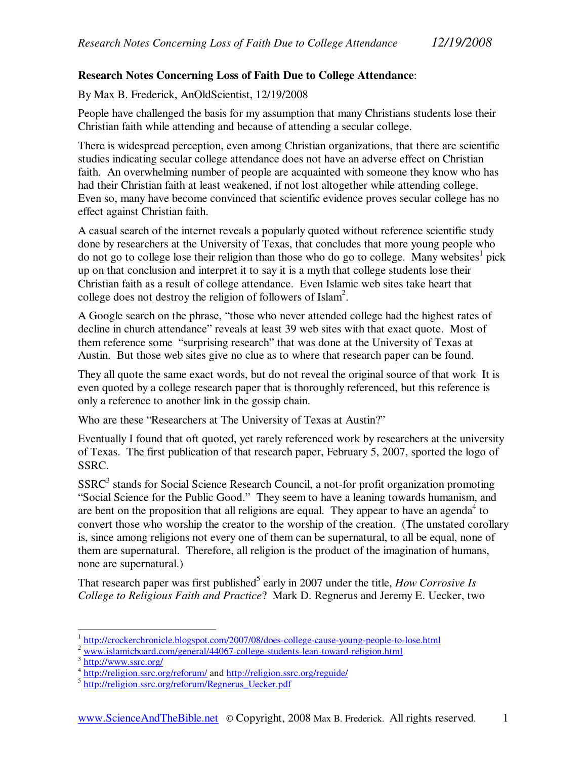## **Research Notes Concerning Loss of Faith Due to College Attendance**:

By Max B. Frederick, AnOldScientist, 12/19/2008

People have challenged the basis for my assumption that many Christians students lose their Christian faith while attending and because of attending a secular college.

There is widespread perception, even among Christian organizations, that there are scientific studies indicating secular college attendance does not have an adverse effect on Christian faith. An overwhelming number of people are acquainted with someone they know who has had their Christian faith at least weakened, if not lost altogether while attending college. Even so, many have become convinced that scientific evidence proves secular college has no effect against Christian faith.

A casual search of the internet reveals a popularly quoted without reference scientific study done by researchers at the University of Texas, that concludes that more young people who do not go to college lose their religion than those who do go to college. Many websites<sup>1</sup> pick up on that conclusion and interpret it to say it is a myth that college students lose their Christian faith as a result of college attendance. Even Islamic web sites take heart that college does not destroy the religion of followers of Islam<sup>2</sup>.

A Google search on the phrase, "those who never attended college had the highest rates of decline in church attendance" reveals at least 39 web sites with that exact quote. Most of them reference some "surprising research" that was done at the University of Texas at Austin. But those web sites give no clue as to where that research paper can be found.

They all quote the same exact words, but do not reveal the original source of that work It is even quoted by a college research paper that is thoroughly referenced, but this reference is only a reference to another link in the gossip chain.

Who are these "Researchers at The University of Texas at Austin?"

Eventually I found that oft quoted, yet rarely referenced work by researchers at the university of Texas. The first publication of that research paper, February 5, 2007, sported the logo of SSRC.

SSRC<sup>3</sup> stands for Social Science Research Council, a not-for profit organization promoting "Social Science for the Public Good." They seem to have a leaning towards humanism, and are bent on the proposition that all religions are equal. They appear to have an agenda<sup>4</sup> to convert those who worship the creator to the worship of the creation. (The unstated corollary is, since among religions not every one of them can be supernatural, to all be equal, none of them are supernatural. Therefore, all religion is the product of the imagination of humans, none are supernatural.)

That research paper was first published<sup>5</sup> early in 2007 under the title, *How Corrosive Is College to Religious Faith and Practice*? Mark D. Regnerus and Jeremy E. Uecker, two

<sup>-&</sup>lt;br><sup>1</sup> http://crockerchronicle.blogspot.com/2007/08/does-college-cause-young-people-to-lose.html

<sup>&</sup>lt;sup>2</sup> www.islamicboard.com/general/44067-college-students-lean-toward-religion.html

<sup>3</sup> http://www.ssrc.org/

<sup>&</sup>lt;sup>4</sup> http://religion.ssrc.org/reforum/ and http://religion.ssrc.org/reguide/

<sup>5</sup> http://religion.ssrc.org/reforum/Regnerus\_Uecker.pdf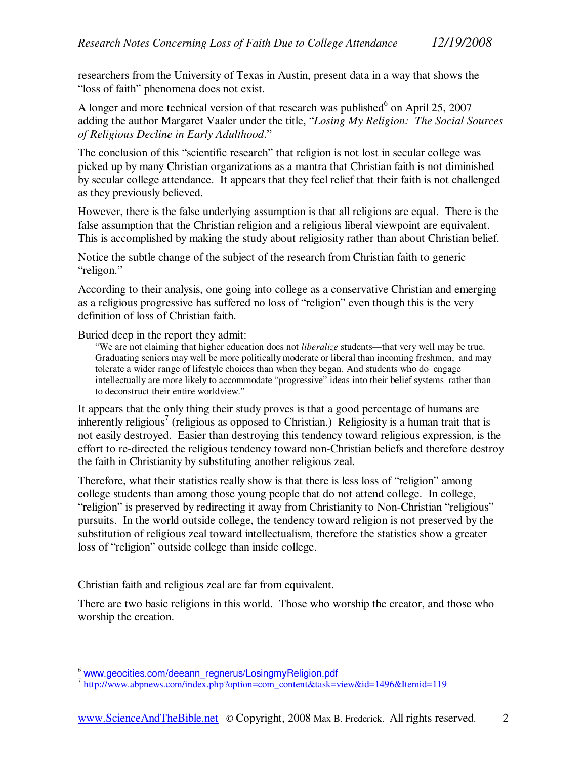researchers from the University of Texas in Austin, present data in a way that shows the "loss of faith" phenomena does not exist.

A longer and more technical version of that research was published $6$  on April 25, 2007 adding the author Margaret Vaaler under the title, "*Losing My Religion: The Social Sources of Religious Decline in Early Adulthood*."

The conclusion of this "scientific research" that religion is not lost in secular college was picked up by many Christian organizations as a mantra that Christian faith is not diminished by secular college attendance. It appears that they feel relief that their faith is not challenged as they previously believed.

However, there is the false underlying assumption is that all religions are equal. There is the false assumption that the Christian religion and a religious liberal viewpoint are equivalent. This is accomplished by making the study about religiosity rather than about Christian belief.

Notice the subtle change of the subject of the research from Christian faith to generic "religon."

According to their analysis, one going into college as a conservative Christian and emerging as a religious progressive has suffered no loss of "religion" even though this is the very definition of loss of Christian faith.

Buried deep in the report they admit:

"We are not claiming that higher education does not *liberalize* students—that very well may be true. Graduating seniors may well be more politically moderate or liberal than incoming freshmen, and may tolerate a wider range of lifestyle choices than when they began. And students who do engage intellectually are more likely to accommodate "progressive" ideas into their belief systems rather than to deconstruct their entire worldview."

It appears that the only thing their study proves is that a good percentage of humans are inherently religious<sup>7</sup> (religious as opposed to Christian.) Religiosity is a human trait that is not easily destroyed. Easier than destroying this tendency toward religious expression, is the effort to re-directed the religious tendency toward non-Christian beliefs and therefore destroy the faith in Christianity by substituting another religious zeal.

Therefore, what their statistics really show is that there is less loss of "religion" among college students than among those young people that do not attend college. In college, "religion" is preserved by redirecting it away from Christianity to Non-Christian "religious" pursuits. In the world outside college, the tendency toward religion is not preserved by the substitution of religious zeal toward intellectualism, therefore the statistics show a greater loss of "religion" outside college than inside college.

Christian faith and religious zeal are far from equivalent.

There are two basic religions in this world. Those who worship the creator, and those who worship the creation.

<sup>&</sup>lt;u>.</u> <sup>6</sup> www.geocities.com/deeann\_regnerus/LosingmyReligion.pdf

<sup>&</sup>lt;sup>7</sup> http://www.abpnews.com/index.php?option=com\_content&task=view&id=1496&Itemid=119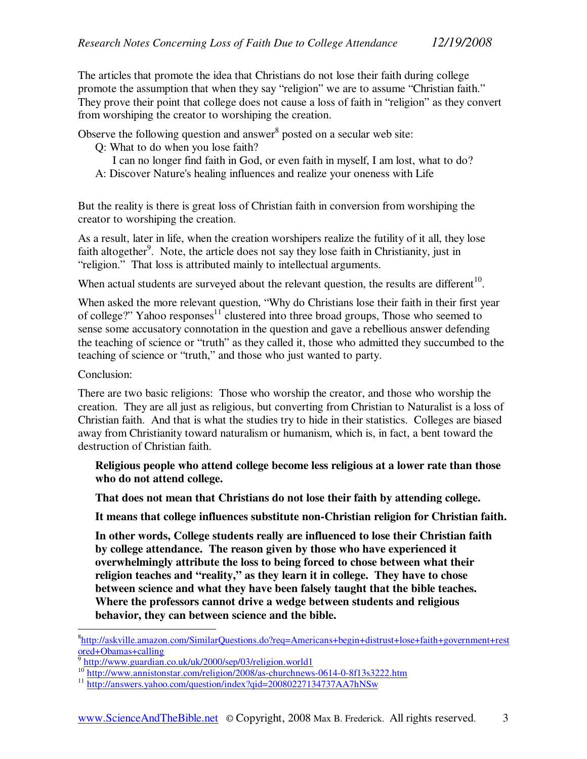The articles that promote the idea that Christians do not lose their faith during college promote the assumption that when they say "religion" we are to assume "Christian faith." They prove their point that college does not cause a loss of faith in "religion" as they convert from worshiping the creator to worshiping the creation.

Observe the following question and answer<sup>8</sup> posted on a secular web site:

- Q: What to do when you lose faith?
- I can no longer find faith in God, or even faith in myself, I am lost, what to do? A: Discover Nature's healing influences and realize your oneness with Life

But the reality is there is great loss of Christian faith in conversion from worshiping the creator to worshiping the creation.

As a result, later in life, when the creation worshipers realize the futility of it all, they lose faith altogether<sup>9</sup>. Note, the article does not say they lose faith in Christianity, just in "religion." That loss is attributed mainly to intellectual arguments.

When actual students are surveyed about the relevant question, the results are different<sup>10</sup>.

When asked the more relevant question, "Why do Christians lose their faith in their first year of college?" Yahoo responses $11$  clustered into three broad groups, Those who seemed to sense some accusatory connotation in the question and gave a rebellious answer defending the teaching of science or "truth" as they called it, those who admitted they succumbed to the teaching of science or "truth," and those who just wanted to party.

## Conclusion:

-

There are two basic religions: Those who worship the creator, and those who worship the creation. They are all just as religious, but converting from Christian to Naturalist is a loss of Christian faith. And that is what the studies try to hide in their statistics. Colleges are biased away from Christianity toward naturalism or humanism, which is, in fact, a bent toward the destruction of Christian faith.

**Religious people who attend college become less religious at a lower rate than those who do not attend college.** 

**That does not mean that Christians do not lose their faith by attending college.** 

**It means that college influences substitute non-Christian religion for Christian faith.** 

**In other words, College students really are influenced to lose their Christian faith by college attendance. The reason given by those who have experienced it overwhelmingly attribute the loss to being forced to chose between what their religion teaches and "reality," as they learn it in college. They have to chose between science and what they have been falsely taught that the bible teaches. Where the professors cannot drive a wedge between students and religious behavior, they can between science and the bible.** 

<sup>8</sup> http://askville.amazon.com/SimilarQuestions.do?req=Americans+begin+distrust+lose+faith+government+rest ored+Obamas+calling

<sup>9</sup> http://www.guardian.co.uk/uk/2000/sep/03/religion.world1

<sup>10</sup> http://www.annistonstar.com/religion/2008/as-churchnews-0614-0-8f13s3222.htm

<sup>11</sup> http://answers.yahoo.com/question/index?qid=20080227134737AA7hNSw